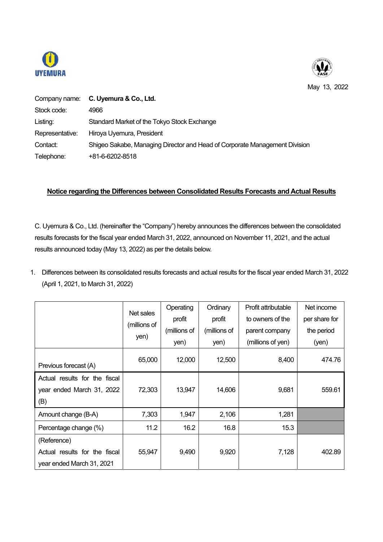



May 13, 2022

|                 | Company name: C. Uyemura & Co., Ltd.                                       |
|-----------------|----------------------------------------------------------------------------|
| Stock code:     | 4966                                                                       |
| Listing:        | Standard Market of the Tokyo Stock Exchange                                |
| Representative: | Hiroya Uyemura, President                                                  |
| Contact:        | Shigeo Sakabe, Managing Director and Head of Corporate Management Division |
| Telephone:      | +81-6-6202-8518                                                            |

## **Notice regarding the Differences between Consolidated Results Forecasts and Actual Results**

C. Uyemura & Co., Ltd. (hereinafter the "Company") hereby announces the differences between the consolidated results forecasts for the fiscal year ended March 31, 2022, announced on November 11, 2021, and the actual results announced today (May 13, 2022) as per the details below.

1. Differences between its consolidated results forecasts and actual results for the fiscal year ended March 31, 2022 (April 1, 2021, to March 31, 2022)

|                               |              | Operating    | Ordinary     | Profit attributable | Net income    |
|-------------------------------|--------------|--------------|--------------|---------------------|---------------|
|                               | Net sales    | profit       | profit       | to owners of the    | per share for |
|                               | (millions of | (millions of | (millions of | parent company      | the period    |
|                               | yen)         | yen)         | yen)         | (millions of yen)   | (yen)         |
| Previous forecast (A)         | 65,000       | 12,000       | 12,500       | 8,400               | 474.76        |
| Actual results for the fiscal |              |              |              |                     |               |
| year ended March 31, 2022     | 72,303       | 13,947       | 14,606       | 9,681               | 559.61        |
| (B)                           |              |              |              |                     |               |
| Amount change (B-A)           | 7,303        | 1,947        | 2,106        | 1,281               |               |
| Percentage change (%)         | 11.2         | 16.2         | 16.8         | 15.3                |               |
| (Reference)                   |              |              |              |                     |               |
| Actual results for the fiscal | 55,947       | 9,490        | 9,920        | 7,128               | 402.89        |
| year ended March 31, 2021     |              |              |              |                     |               |